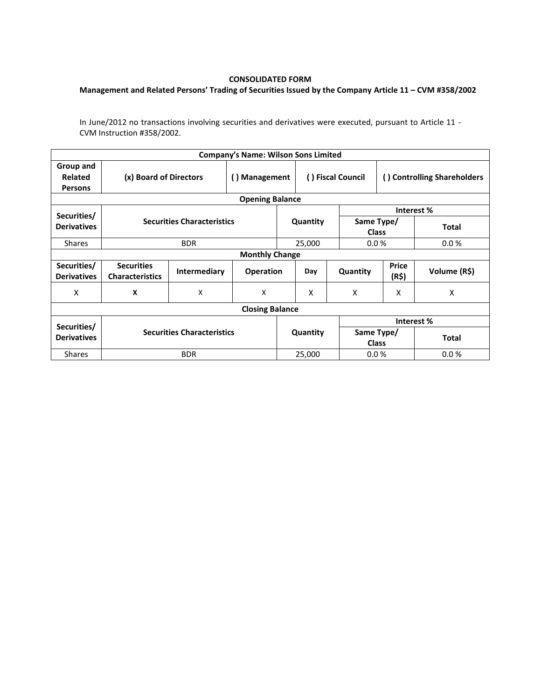## **CONSOLIDATED FORM**

## **Management and Related Persons' Trading of Securities Issued by the Company Article 11 – CVM #358/2002**

In June/2012 no transactions involving securities and derivatives were executed, pursuant to Article 11 - CVM Instruction #358/2002.

| <b>Company's Name: Wilson Sons Limited</b> |                                             |                                   |                  |          |                   |                            |                             |              |  |  |  |
|--------------------------------------------|---------------------------------------------|-----------------------------------|------------------|----------|-------------------|----------------------------|-----------------------------|--------------|--|--|--|
| Group and<br>Related<br><b>Persons</b>     | (x) Board of Directors                      |                                   | () Management    |          | () Fiscal Council |                            | () Controlling Shareholders |              |  |  |  |
| <b>Opening Balance</b>                     |                                             |                                   |                  |          |                   |                            |                             |              |  |  |  |
| Securities/                                |                                             |                                   |                  |          |                   |                            | Interest%                   |              |  |  |  |
| <b>Derivatives</b>                         |                                             | <b>Securities Characteristics</b> |                  |          | Quantity          | Same Type/<br><b>Class</b> |                             | <b>Total</b> |  |  |  |
| <b>Shares</b>                              |                                             | <b>BDR</b>                        |                  |          | 25,000            | 0.0%                       |                             | 0.0%         |  |  |  |
| <b>Monthly Change</b>                      |                                             |                                   |                  |          |                   |                            |                             |              |  |  |  |
| Securities/<br><b>Derivatives</b>          | <b>Securities</b><br><b>Characteristics</b> | Intermediary                      | <b>Operation</b> |          | Day               | Quantity                   | <b>Price</b><br>(R\$)       | Volume (R\$) |  |  |  |
| X                                          | X                                           | X                                 | X                |          | X                 | X                          | X                           | X            |  |  |  |
| <b>Closing Balance</b>                     |                                             |                                   |                  |          |                   |                            |                             |              |  |  |  |
|                                            |                                             |                                   |                  |          |                   | Interest%                  |                             |              |  |  |  |
| Securities/<br><b>Derivatives</b>          | <b>Securities Characteristics</b>           |                                   |                  | Quantity |                   | Same Type/<br><b>Class</b> |                             | <b>Total</b> |  |  |  |
| <b>Shares</b>                              |                                             | <b>BDR</b>                        |                  |          | 25,000            | 0.0%                       |                             | 0.0%         |  |  |  |